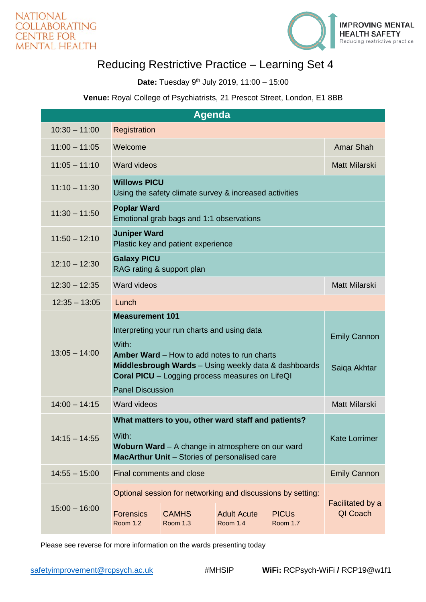

## Reducing Restrictive Practice – Learning Set 4

**Date:** Tuesday 9th July 2019, 11:00 – 15:00

## **Venue:** Royal College of Psychiatrists, 21 Prescot Street, London, E1 8BB

| <b>Agenda</b>   |                                                                                                                                                                                                                                                                                   |                                 |                                       |                                            |                                     |
|-----------------|-----------------------------------------------------------------------------------------------------------------------------------------------------------------------------------------------------------------------------------------------------------------------------------|---------------------------------|---------------------------------------|--------------------------------------------|-------------------------------------|
| $10:30 - 11:00$ | Registration                                                                                                                                                                                                                                                                      |                                 |                                       |                                            |                                     |
| $11:00 - 11:05$ | Welcome                                                                                                                                                                                                                                                                           |                                 |                                       |                                            | Amar Shah                           |
| $11:05 - 11:10$ | <b>Ward videos</b>                                                                                                                                                                                                                                                                |                                 |                                       |                                            | <b>Matt Milarski</b>                |
| $11:10 - 11:30$ | <b>Willows PICU</b><br>Using the safety climate survey & increased activities                                                                                                                                                                                                     |                                 |                                       |                                            |                                     |
| $11:30 - 11:50$ | <b>Poplar Ward</b><br>Emotional grab bags and 1:1 observations                                                                                                                                                                                                                    |                                 |                                       |                                            |                                     |
| $11:50 - 12:10$ | <b>Juniper Ward</b><br>Plastic key and patient experience                                                                                                                                                                                                                         |                                 |                                       |                                            |                                     |
| $12:10 - 12:30$ | <b>Galaxy PICU</b><br>RAG rating & support plan                                                                                                                                                                                                                                   |                                 |                                       |                                            |                                     |
| $12:30 - 12:35$ | Ward videos                                                                                                                                                                                                                                                                       |                                 |                                       |                                            | <b>Matt Milarski</b>                |
| $12:35 - 13:05$ | Lunch                                                                                                                                                                                                                                                                             |                                 |                                       |                                            |                                     |
| $13:05 - 14:00$ | <b>Measurement 101</b><br>Interpreting your run charts and using data<br>With:<br><b>Amber Ward</b> – How to add notes to run charts<br>Middlesbrough Wards - Using weekly data & dashboards<br><b>Coral PICU</b> – Logging process measures on LifeQI<br><b>Panel Discussion</b> |                                 |                                       |                                            | <b>Emily Cannon</b><br>Saiqa Akhtar |
| $14:00 - 14:15$ | Ward videos                                                                                                                                                                                                                                                                       |                                 |                                       |                                            | <b>Matt Milarski</b>                |
| $14:15 - 14:55$ | What matters to you, other ward staff and patients?<br>With:<br>Woburn Ward - A change in atmosphere on our ward<br>MacArthur Unit - Stories of personalised care                                                                                                                 |                                 |                                       |                                            | <b>Kate Lorrimer</b>                |
| $14:55 - 15:00$ | Final comments and close                                                                                                                                                                                                                                                          |                                 |                                       |                                            | <b>Emily Cannon</b>                 |
| $15:00 - 16:00$ | Optional session for networking and discussions by setting:                                                                                                                                                                                                                       |                                 |                                       |                                            | Facilitated by a                    |
|                 | <b>Forensics</b><br><b>Room 1.2</b>                                                                                                                                                                                                                                               | <b>CAMHS</b><br><b>Room 1.3</b> | <b>Adult Acute</b><br><b>Room 1.4</b> | <b>PICU<sub>s</sub></b><br><b>Room 1.7</b> | QI Coach                            |

Please see reverse for more information on the wards presenting today